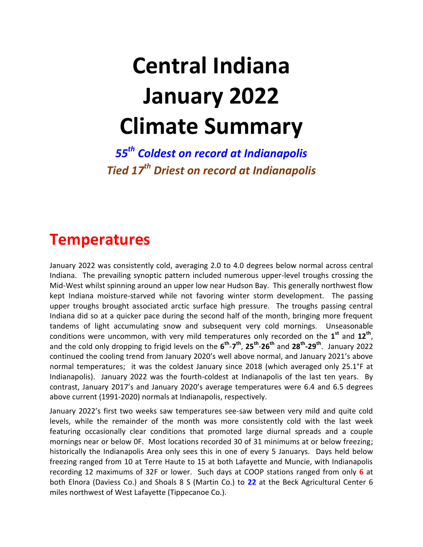# **Central Indiana January 2022 Climate Summary**

*55th Coldest on record at Indianapolis Tied 17th Driest on record at Indianapolis*

#### **Temperatures**

January 2022 was consistently cold, averaging 2.0 to 4.0 degrees below normal across central Indiana. The prevailing synoptic pattern included numerous upper-level troughs crossing the Mid-West whilst spinning around an upper low near Hudson Bay. This generally northwest flow kept Indiana moisture-starved while not favoring winter storm development. The passing upper troughs brought associated arctic surface high pressure. The troughs passing central Indiana did so at a quicker pace during the second half of the month, bringing more frequent tandems of light accumulating snow and subsequent very cold mornings. Unseasonable conditions were uncommon, with very mild temperatures only recorded on the **1 st** and **12th** , and the cold only dropping to frigid levels on the **6 th** -**7 th** , **25th** -**26th** and **28th -29th** . January 2022 continued the cooling trend from January 2020's well above normal, and January 2021's above normal temperatures; it was the coldest January since 2018 (which averaged only 25.1°F at Indianapolis). January 2022 was the fourth-coldest at Indianapolis of the last ten years. By contrast, January 2017's and January 2020's average temperatures were 6.4 and 6.5 degrees above current (1991-2020) normals at Indianapolis, respectively.

January 2022's first two weeks saw temperatures see-saw between very mild and quite cold levels, while the remainder of the month was more consistently cold with the last week featuring occasionally clear conditions that promoted large diurnal spreads and a couple mornings near or below 0F. Most locations recorded 30 of 31 minimums at or below freezing; historically the Indianapolis Area only sees this in one of every 5 Januarys. Days held below freezing ranged from 10 at Terre Haute to 15 at both Lafayette and Muncie, with Indianapolis recording 12 maximums of 32F or lower. Such days at COOP stations ranged from only **6** at both Elnora (Daviess Co.) and Shoals 8 S (Martin Co.) to **22** at the Beck Agricultural Center 6 miles northwest of West Lafayette (Tippecanoe Co.).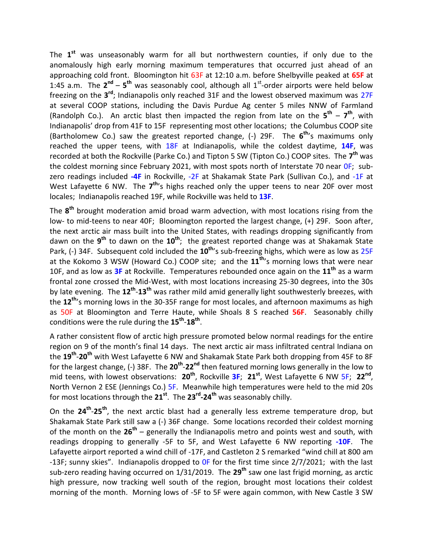The **1 st** was unseasonably warm for all but northwestern counties, if only due to the anomalously high early morning maximum temperatures that occurred just ahead of an approaching cold front. Bloomington hit 63F at 12:10 a.m. before Shelbyville peaked at **65F** at 1:45 a.m. The  $2^{nd}$  –  $5^{th}$  was seasonably cool, although all 1<sup>st</sup>-order airports were held below freezing on the 3<sup>rd</sup>; Indianapolis only reached 31F and the lowest observed maximum was 27F at several COOP stations, including the Davis Purdue Ag center 5 miles NNW of Farmland (Randolph Co.). An arctic blast then impacted the region from late on the  $5^{\text{th}} - 7^{\text{th}}$ , with Indianapolis' drop from 41F to 15F representing most other locations; the Columbus COOP site (Bartholomew Co.) saw the greatest reported change, (-) 29F. The **6 th**'s maximums only reached the upper teens, with 18F at Indianapolis, while the coldest daytime, **14F**, was recorded at both the Rockville (Parke Co.) and Tipton 5 SW (Tipton Co.) COOP sites. The **7 th** was the coldest morning since February 2021, with most spots north of Interstate 70 near OF; subzero readings included **-4F** in Rockville, -2F at Shakamak State Park (Sullivan Co.), and -1F at West Lafayette 6 NW. The 7<sup>th</sup>'s highs reached only the upper teens to near 20F over most locales; Indianapolis reached 19F, while Rockville was held to **13F**.

The **8 th** brought moderation amid broad warm advection, with most locations rising from the low- to mid-teens to near 40F; Bloomington reported the largest change, (+) 29F. Soon after, the next arctic air mass built into the United States, with readings dropping significantly from dawn on the **9 th** to dawn on the **10th** ; the greatest reported change was at Shakamak State Park, (-) 34F. Subsequent cold included the **10th**'s sub-freezing highs, which were as low as 25F at the Kokomo 3 WSW (Howard Co.) COOP site; and the **11th**'s morning lows that were near 10F, and as low as **3F** at Rockville. Temperatures rebounded once again on the **11th** as a warm frontal zone crossed the Mid-West, with most locations increasing 25-30 degrees, into the 30s by late evening. The **12th** -**13th** was rather mild amid generally light southwesterly breezes, with the **12th**'s morning lows in the 30-35F range for most locales, and afternoon maximums as high as 50F at Bloomington and Terre Haute, while Shoals 8 S reached **56F**. Seasonably chilly conditions were the rule during the **15th** -**18th** .

A rather consistent flow of arctic high pressure promoted below normal readings for the entire region on 9 of the month's final 14 days. The next arctic air mass infiltrated central Indiana on the **19th** -**20th** with West Lafayette 6 NW and Shakamak State Park both dropping from 45F to 8F for the largest change, (-) 38F. The 20<sup>th</sup>-22<sup>nd</sup> then featured morning lows generally in the low to mid teens, with lowest observations: **20th**, Rockville **3F**; **21st**, West Lafayette 6 NW 5F; **22nd** , North Vernon 2 ESE (Jennings Co.) 5F. Meanwhile high temperatures were held to the mid 20s for most locations through the **21st**. The **23rd -24th** was seasonably chilly.

On the **24th** -**25th**, the next arctic blast had a generally less extreme temperature drop, but Shakamak State Park still saw a (-) 36F change. Some locations recorded their coldest morning of the month on the **26th** – generally the Indianapolis metro and points west and south, with readings dropping to generally -5F to 5F, and West Lafayette 6 NW reporting **-10F**. The Lafayette airport reported a wind chill of -17F, and Castleton 2 S remarked "wind chill at 800 am -13F; sunny skies". Indianapolis dropped to OF for the first time since 2/7/2021; with the last sub-zero reading having occurred on 1/31/2019. The **29th** saw one last frigid morning, as arctic high pressure, now tracking well south of the region, brought most locations their coldest morning of the month. Morning lows of -5F to 5F were again common, with New Castle 3 SW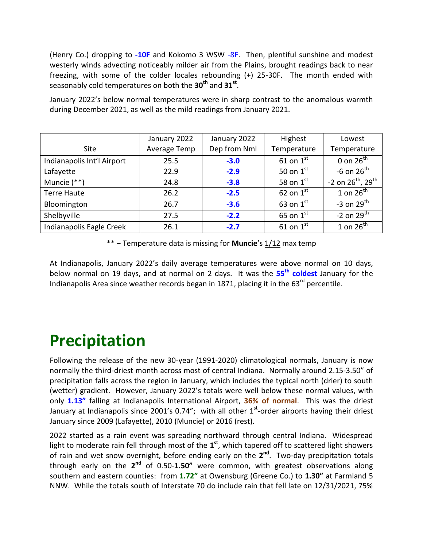(Henry Co.) dropping to **-10F** and Kokomo 3 WSW -8F. Then, plentiful sunshine and modest westerly winds advecting noticeably milder air from the Plains, brought readings back to near freezing, with some of the colder locales rebounding (+) 25-30F. The month ended with seasonably cold temperatures on both the **30th** and **31st** .

January 2022's below normal temperatures were in sharp contrast to the anomalous warmth during December 2021, as well as the mild readings from January 2021.

|                            | January 2022 | January 2022 | Highest               | Lowest                        |
|----------------------------|--------------|--------------|-----------------------|-------------------------------|
| <b>Site</b>                | Average Temp | Dep from Nml | Temperature           | Temperature                   |
| Indianapolis Int'l Airport | 25.5         | $-3.0$       | 61 on $1^{\text{st}}$ | 0 on $26^{\text{th}}$         |
| Lafayette                  | 22.9         | $-2.9$       | 50 on $1^{\text{st}}$ | -6 on $26^{\text{th}}$        |
| Muncie (**)                | 24.8         | $-3.8$       | 58 on $1^{\rm st}$    | $-2$ on $26^{th}$ , $29^{th}$ |
| <b>Terre Haute</b>         | 26.2         | $-2.5$       | 62 on $1^{\text{st}}$ | 1 on $26^{th}$                |
| Bloomington                | 26.7         | $-3.6$       | 63 on $1^{\text{st}}$ | -3 on $29^{\text{th}}$        |
| Shelbyville                | 27.5         | $-2.2$       | 65 on $1^{\text{st}}$ | -2 on $29^{\text{th}}$        |
| Indianapolis Eagle Creek   | 26.1         | $-2.7$       | 61 on $1^{\text{st}}$ | 1 on $26^{th}$                |

\*\* − Temperature data is missing for **Muncie**'s 1/12 max temp

At Indianapolis, January 2022's daily average temperatures were above normal on 10 days, below normal on 19 days, and at normal on 2 days. It was the **55 th coldest** January for the Indianapolis Area since weather records began in 1871, placing it in the 63<sup>rd</sup> percentile.

## **Precipitation**

Following the release of the new 30-year (1991-2020) climatological normals, January is now normally the third-driest month across most of central Indiana. Normally around 2.15-3.50" of precipitation falls across the region in January, which includes the typical north (drier) to south (wetter) gradient. However, January 2022's totals were well below these normal values, with only **1.13"** falling at Indianapolis International Airport, **36% of normal**. This was the driest January at Indianapolis since 2001's 0.74"; with all other 1<sup>st</sup>-order airports having their driest January since 2009 (Lafayette), 2010 (Muncie) or 2016 (rest).

2022 started as a rain event was spreading northward through central Indiana. Widespread light to moderate rain fell through most of the  $1<sup>st</sup>$ , which tapered off to scattered light showers of rain and wet snow overnight, before ending early on the 2<sup>nd</sup>. Two-day precipitation totals through early on the 2<sup>nd</sup> of 0.50-1.50" were common, with greatest observations along southern and eastern counties: from **1.72"** at Owensburg (Greene Co.) to **1.30"** at Farmland 5 NNW. While the totals south of Interstate 70 do include rain that fell late on 12/31/2021, 75%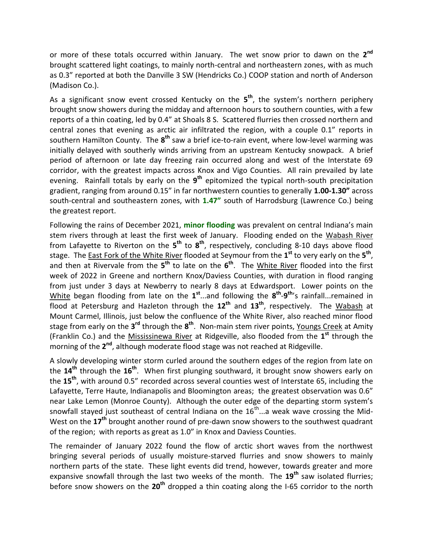or more of these totals occurred within January. The wet snow prior to dawn on the **2 nd** brought scattered light coatings, to mainly north-central and northeastern zones, with as much as 0.3" reported at both the Danville 3 SW (Hendricks Co.) COOP station and north of Anderson (Madison Co.).

As a significant snow event crossed Kentucky on the **5 th**, the system's northern periphery brought snow showers during the midday and afternoon hours to southern counties, with a few reports of a thin coating, led by 0.4" at Shoals 8 S. Scattered flurries then crossed northern and central zones that evening as arctic air infiltrated the region, with a couple 0.1" reports in southern Hamilton County. The  $8^{th}$  saw a brief ice-to-rain event, where low-level warming was initially delayed with southerly winds arriving from an upstream Kentucky snowpack. A brief period of afternoon or late day freezing rain occurred along and west of the Interstate 69 corridor, with the greatest impacts across Knox and Vigo Counties. All rain prevailed by late evening. Rainfall totals by early on the **9 th** epitomized the typical north-south precipitation gradient, ranging from around 0.15" in far northwestern counties to generally **1.00-1.30"** across south-central and southeastern zones, with **1.47"** south of Harrodsburg (Lawrence Co.) being the greatest report.

Following the rains of December 2021, **minor flooding** was prevalent on central Indiana's main stem rivers through at least the first week of January. Flooding ended on the Wabash River from Lafayette to Riverton on the  $5^{th}$  to  $8^{th}$ , respectively, concluding 8-10 days above flood stage. The East Fork of the White River flooded at Seymour from the **1 st** to very early on the **5 th** , and then at Rivervale from the 5<sup>th</sup> to late on the 6<sup>th</sup>. The White River flooded into the first week of 2022 in Greene and northern Knox/Daviess Counties, with duration in flood ranging from just under 3 days at Newberry to nearly 8 days at Edwardsport. Lower points on the White began flooding from late on the  $1^{st}$ ...and following the  $8^{th}$ - $9^{th}$ 's rainfall...remained in flood at Petersburg and Hazleton through the **12th** and **13th**, respectively. The Wabash at Mount Carmel, Illinois, just below the confluence of the White River, also reached minor flood stage from early on the 3<sup>rd</sup> through the 8<sup>th</sup>. Non-main stem river points, Youngs Creek at Amity (Franklin Co.) and the Mississinewa River at Ridgeville, also flooded from the **1 st** through the morning of the 2<sup>nd</sup>, although moderate flood stage was not reached at Ridgeville.

A slowly developing winter storm curled around the southern edges of the region from late on the **14th** through the **16th**. When first plunging southward, it brought snow showers early on the **15th**, with around 0.5" recorded across several counties west of Interstate 65, including the Lafayette, Terre Haute, Indianapolis and Bloomington areas; the greatest observation was 0.6" near Lake Lemon (Monroe County). Although the outer edge of the departing storm system's snowfall stayed just southeast of central Indiana on the  $16^{th}$ ...a weak wave crossing the Mid-West on the **17th** brought another round of pre-dawn snow showers to the southwest quadrant of the region; with reports as great as 1.0" in Knox and Daviess Counties.

The remainder of January 2022 found the flow of arctic short waves from the northwest bringing several periods of usually moisture-starved flurries and snow showers to mainly northern parts of the state. These light events did trend, however, towards greater and more expansive snowfall through the last two weeks of the month. The **19th** saw isolated flurries; before snow showers on the **20th** dropped a thin coating along the I-65 corridor to the north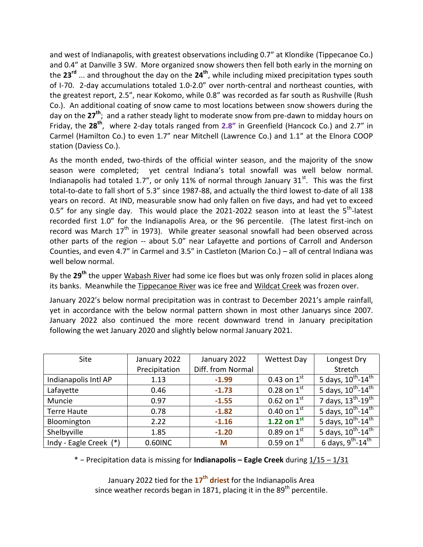and west of Indianapolis, with greatest observations including 0.7" at Klondike (Tippecanoe Co.) and 0.4" at Danville 3 SW. More organized snow showers then fell both early in the morning on the **23rd** ... and throughout the day on the **24th** , while including mixed precipitation types south of I-70. 2-day accumulations totaled 1.0-2.0" over north-central and northeast counties, with the greatest report, 2.5", near Kokomo, while 0.8" was recorded as far south as Rushville (Rush Co.). An additional coating of snow came to most locations between snow showers during the day on the **27th** ;and a rather steady light to moderate snow from pre-dawn to midday hours on Friday, the **28th** , where 2-day totals ranged from **2.8"** in Greenfield (Hancock Co.) and 2.7" in Carmel (Hamilton Co.) to even 1.7" near Mitchell (Lawrence Co.) and 1.1" at the Elnora COOP station (Daviess Co.).

As the month ended, two-thirds of the official winter season, and the majority of the snow season were completed; yet central Indiana's total snowfall was well below normal. Indianapolis had totaled 1.7", or only 11% of normal through January 31 $^{st}$ . This was the first total-to-date to fall short of 5.3" since 1987-88, and actually the third lowest to-date of all 138 years on record. At IND, measurable snow had only fallen on five days, and had yet to exceed 0.5" for any single day. This would place the 2021-2022 season into at least the 5<sup>th</sup>-latest recorded first 1.0" for the Indianapolis Area, or the 96 percentile. (The latest first-inch on record was March  $17<sup>th</sup>$  in 1973). While greater seasonal snowfall had been observed across other parts of the region -- about 5.0" near Lafayette and portions of Carroll and Anderson Counties, and even 4.7" in Carmel and 3.5" in Castleton (Marion Co.) – all of central Indiana was well below normal.

By the **29th** the upper Wabash River had some ice floes but was only frozen solid in places along its banks. Meanwhile the Tippecanoe River was ice free and Wildcat Creek was frozen over.

January 2022's below normal precipitation was in contrast to December 2021's ample rainfall, yet in accordance with the below normal pattern shown in most other Januarys since 2007. January 2022 also continued the more recent downward trend in January precipitation following the wet January 2020 and slightly below normal January 2021.

| Site                   | January 2022  | January 2022      | <b>Wettest Day</b> | Longest Dry                                          |
|------------------------|---------------|-------------------|--------------------|------------------------------------------------------|
|                        | Precipitation | Diff. from Normal |                    | Stretch                                              |
| Indianapolis Intl AP   | 1.13          | $-1.99$           | 0.43 on $1^{st}$   | 5 days, $10^{\text{th}} - 14^{\overline{\text{th}}}$ |
| Lafayette              | 0.46          | $-1.73$           | 0.28 on $1^{st}$   | 5 days, $10^{th}$ - $14^{th}$                        |
| Muncie                 | 0.97          | $-1.55$           | 0.62 on $1^{st}$   | 7 days, $13^{th} - 19^{th}$                          |
| <b>Terre Haute</b>     | 0.78          | $-1.82$           | 0.40 on $1^{st}$   | 5 days, $10^{\overline{th}} - 14^{\overline{th}}$    |
| Bloomington            | 2.22          | $-1.16$           | 1.22 on $1^{st}$   | 5 days, $10^{\overline{th}} - 14^{\overline{th}}$    |
| Shelbyville            | 1.85          | $-1.20$           | $0.89$ on $1^{st}$ | 5 days, $10^{\text{th}} - 14^{\overline{\text{th}}}$ |
| Indy - Eagle Creek (*) | 0.60INC       | M                 | 0.59 on $1^{st}$   | 6 days, $9^{\text{th}}$ -14 <sup>th</sup>            |

\* − Precipitation data is missing for **Indianapolis – Eagle Creek** during 1/15 – 1/31

January 2022 tied for the **17th driest** for the Indianapolis Area since weather records began in 1871, placing it in the 89<sup>th</sup> percentile.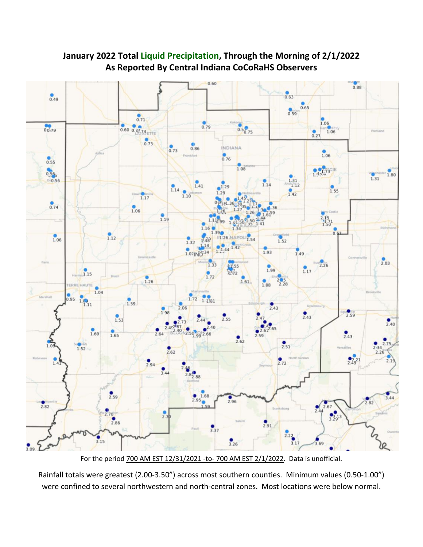

**January 2022 Total Liquid Precipitation, Through the Morning of 2/1/2022 As Reported By Central Indiana CoCoRaHS Observers**

For the period 700 AM EST 12/31/2021 -to- 700 AM EST 2/1/2022. Data is unofficial.

Rainfall totals were greatest (2.00-3.50") across most southern counties. Minimum values (0.50-1.00") were confined to several northwestern and north-central zones. Most locations were below normal.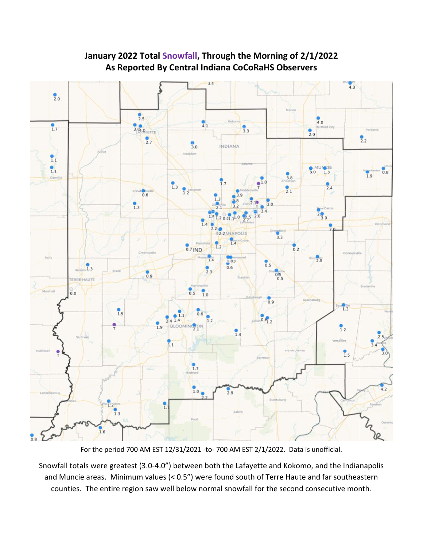

#### **January 2022 Total Snowfall, Through the Morning of 2/1/2022 As Reported By Central Indiana CoCoRaHS Observers**

For the period 700 AM EST 12/31/2021 -to- 700 AM EST 2/1/2022. Data is unofficial.

Snowfall totals were greatest (3.0-4.0") between both the Lafayette and Kokomo, and the Indianapolis and Muncie areas. Minimum values (< 0.5") were found south of Terre Haute and far southeastern counties. The entire region saw well below normal snowfall for the second consecutive month.